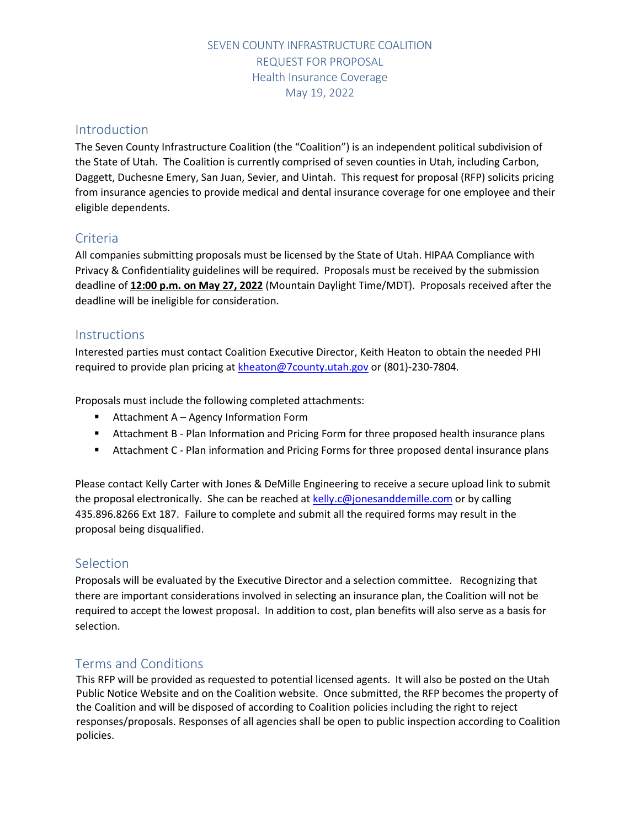### SEVEN COUNTY INFRASTRUCTURE COALITION REQUEST FOR PROPOSAL Health Insurance Coverage May 19, 2022

### Introduction

The Seven County Infrastructure Coalition (the "Coalition") is an independent political subdivision of the State of Utah. The Coalition is currently comprised of seven counties in Utah, including Carbon, Daggett, Duchesne Emery, San Juan, Sevier, and Uintah. This request for proposal (RFP) solicits pricing from insurance agencies to provide medical and dental insurance coverage for one employee and their eligible dependents.

### Criteria

All companies submitting proposals must be licensed by the State of Utah. HIPAA Compliance with Privacy & Confidentiality guidelines will be required. Proposals must be received by the submission deadline of **12:00 p.m. on May 27, 2022** (Mountain Daylight Time/MDT). Proposals received after the deadline will be ineligible for consideration.

#### **Instructions**

Interested parties must contact Coalition Executive Director, Keith Heaton to obtain the needed PHI required to provide plan pricing a[t kheaton@7county.utah.gov](mailto:kheaton@7county.utah.gov) or (801)-230-7804.

Proposals must include the following completed attachments:

- Attachment A Agency Information Form
- Attachment B Plan Information and Pricing Form for three proposed health insurance plans
- Attachment C Plan information and Pricing Forms for three proposed dental insurance plans

Please contact Kelly Carter with Jones & DeMille Engineering to receive a secure upload link to submit the proposal electronically. She can be reached at [kelly.c@jonesanddemille.com](mailto:kelly.c@jonesanddemille.com) or by calling 435.896.8266 Ext 187. Failure to complete and submit all the required forms may result in the proposal being disqualified.

#### Selection

Proposals will be evaluated by the Executive Director and a selection committee. Recognizing that there are important considerations involved in selecting an insurance plan, the Coalition will not be required to accept the lowest proposal. In addition to cost, plan benefits will also serve as a basis for selection.

## Terms and Conditions

This RFP will be provided as requested to potential licensed agents. It will also be posted on the Utah Public Notice Website and on the Coalition website. Once submitted, the RFP becomes the property of the Coalition and will be disposed of according to Coalition policies including the right to reject responses/proposals. Responses of all agencies shall be open to public inspection according to Coalition policies.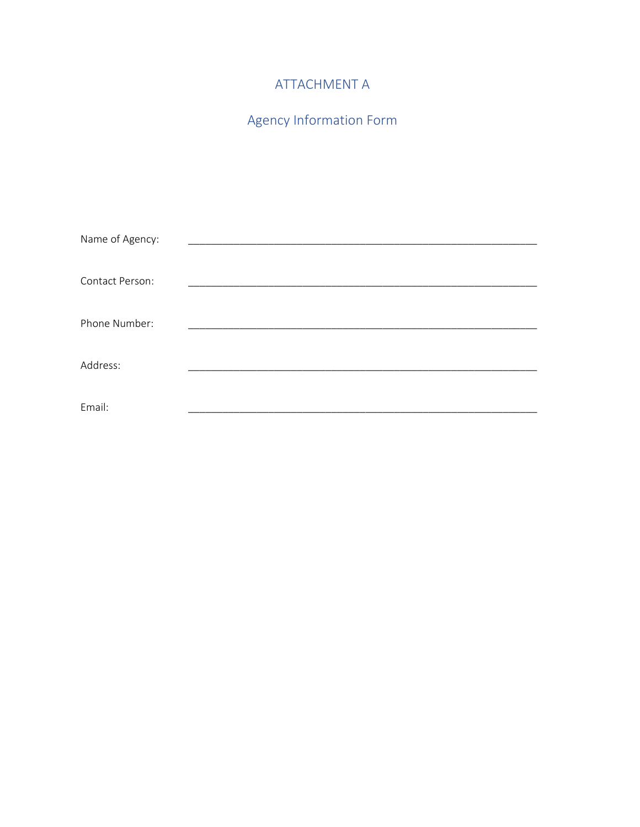## ATTACHMENT A

# Agency Information Form

| Name of Agency: |  |
|-----------------|--|
|                 |  |
| Contact Person: |  |
|                 |  |
| Phone Number:   |  |
|                 |  |
| Address:        |  |
|                 |  |
| Email:          |  |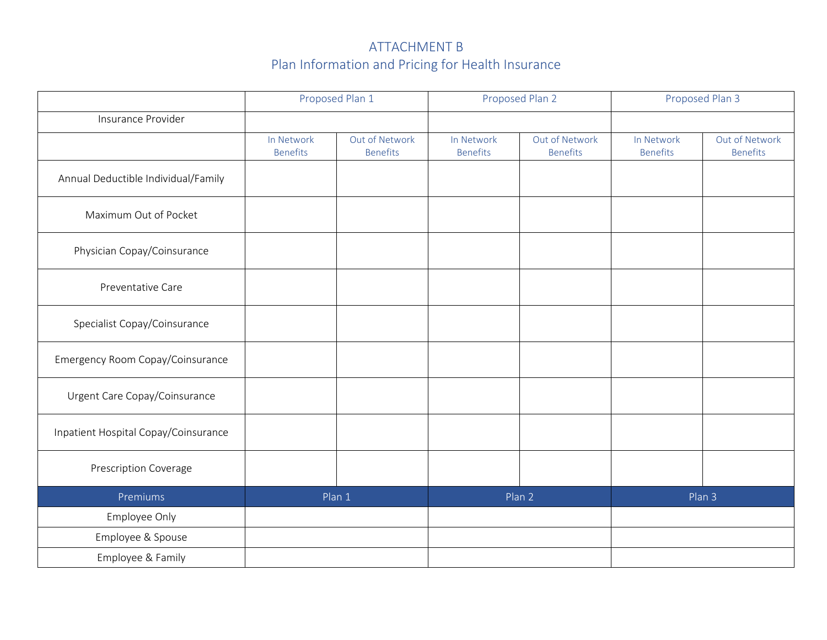## ATTACHMENT B Plan Information and Pricing for Health Insurance

|                                      | Proposed Plan 1               |                                   | Proposed Plan 2               |                                   | Proposed Plan 3               |                                   |
|--------------------------------------|-------------------------------|-----------------------------------|-------------------------------|-----------------------------------|-------------------------------|-----------------------------------|
| Insurance Provider                   |                               |                                   |                               |                                   |                               |                                   |
|                                      | In Network<br><b>Benefits</b> | Out of Network<br><b>Benefits</b> | In Network<br><b>Benefits</b> | Out of Network<br><b>Benefits</b> | In Network<br><b>Benefits</b> | Out of Network<br><b>Benefits</b> |
| Annual Deductible Individual/Family  |                               |                                   |                               |                                   |                               |                                   |
| Maximum Out of Pocket                |                               |                                   |                               |                                   |                               |                                   |
| Physician Copay/Coinsurance          |                               |                                   |                               |                                   |                               |                                   |
| Preventative Care                    |                               |                                   |                               |                                   |                               |                                   |
| Specialist Copay/Coinsurance         |                               |                                   |                               |                                   |                               |                                   |
| Emergency Room Copay/Coinsurance     |                               |                                   |                               |                                   |                               |                                   |
| Urgent Care Copay/Coinsurance        |                               |                                   |                               |                                   |                               |                                   |
| Inpatient Hospital Copay/Coinsurance |                               |                                   |                               |                                   |                               |                                   |
| <b>Prescription Coverage</b>         |                               |                                   |                               |                                   |                               |                                   |
| Premiums                             | Plan 1                        |                                   | Plan 2                        |                                   | Plan 3                        |                                   |
| Employee Only                        |                               |                                   |                               |                                   |                               |                                   |
| Employee & Spouse                    |                               |                                   |                               |                                   |                               |                                   |
| Employee & Family                    |                               |                                   |                               |                                   |                               |                                   |